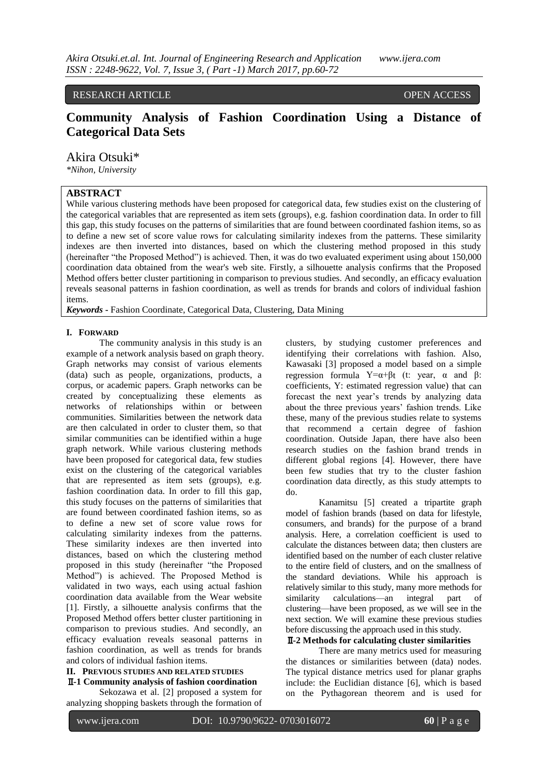# RESEARCH ARTICLE OPEN ACCESS

# **Community Analysis of Fashion Coordination Using a Distance of Categorical Data Sets**

Akira Otsuki\*

*\*Nihon, University*

# **ABSTRACT**

While various clustering methods have been proposed for categorical data, few studies exist on the clustering of the categorical variables that are represented as item sets (groups), e.g. fashion coordination data. In order to fill this gap, this study focuses on the patterns of similarities that are found between coordinated fashion items, so as to define a new set of score value rows for calculating similarity indexes from the patterns. These similarity indexes are then inverted into distances, based on which the clustering method proposed in this study (hereinafter "the Proposed Method") is achieved. Then, it was do two evaluated experiment using about 150,000 coordination data obtained from the wear's web site. Firstly, a silhouette analysis confirms that the Proposed Method offers better cluster partitioning in comparison to previous studies. And secondly, an efficacy evaluation reveals seasonal patterns in fashion coordination, as well as trends for brands and colors of individual fashion items.

*Keywords* **-** Fashion Coordinate, Categorical Data, Clustering, Data Mining

#### **I. FORWARD**

The community analysis in this study is an example of a network analysis based on graph theory. Graph networks may consist of various elements (data) such as people, organizations, products, a corpus, or academic papers. Graph networks can be created by conceptualizing these elements as networks of relationships within or between communities. Similarities between the network data are then calculated in order to cluster them, so that similar communities can be identified within a huge graph network. While various clustering methods have been proposed for categorical data, few studies exist on the clustering of the categorical variables that are represented as item sets (groups), e.g. fashion coordination data. In order to fill this gap, this study focuses on the patterns of similarities that are found between coordinated fashion items, so as to define a new set of score value rows for calculating similarity indexes from the patterns. These similarity indexes are then inverted into distances, based on which the clustering method proposed in this study (hereinafter "the Proposed Method") is achieved. The Proposed Method is validated in two ways, each using actual fashion coordination data available from the Wear website [1]. Firstly, a silhouette analysis confirms that the Proposed Method offers better cluster partitioning in comparison to previous studies. And secondly, an efficacy evaluation reveals seasonal patterns in fashion coordination, as well as trends for brands and colors of individual fashion items.

## **II. PREVIOUS STUDIES AND RELATED STUDIES** Ⅱ**-1 Community analysis of fashion coordination**

Sekozawa et al. [2] proposed a system for analyzing shopping baskets through the formation of clusters, by studying customer preferences and identifying their correlations with fashion. Also, Kawasaki [3] proposed a model based on a simple regression formula  $Y=\alpha+\beta t$  (t: year, α and β: coefficients, Y: estimated regression value) that can forecast the next year's trends by analyzing data about the three previous years' fashion trends. Like these, many of the previous studies relate to systems that recommend a certain degree of fashion coordination. Outside Japan, there have also been research studies on the fashion brand trends in different global regions [4]. However, there have been few studies that try to the cluster fashion coordination data directly, as this study attempts to do.

Kanamitsu [5] created a tripartite graph model of fashion brands (based on data for lifestyle, consumers, and brands) for the purpose of a brand analysis. Here, a correlation coefficient is used to calculate the distances between data; then clusters are identified based on the number of each cluster relative to the entire field of clusters, and on the smallness of the standard deviations. While his approach is relatively similar to this study, many more methods for similarity calculations—an integral part of clustering—have been proposed, as we will see in the next section. We will examine these previous studies before discussing the approach used in this study.

# Ⅱ**-2 Methods for calculating cluster similarities**

There are many metrics used for measuring the distances or similarities between (data) nodes. The typical distance metrics used for planar graphs include: the Euclidian distance [6], which is based on the Pythagorean theorem and is used for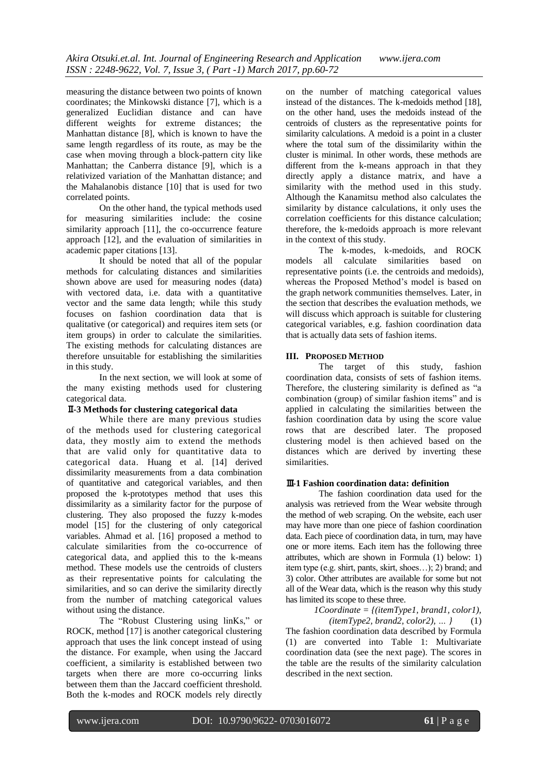measuring the distance between two points of known coordinates; the Minkowski distance [7], which is a generalized Euclidian distance and can have different weights for extreme distances; the Manhattan distance [8], which is known to have the same length regardless of its route, as may be the case when moving through a block-pattern city like Manhattan; the Canberra distance [9], which is a relativized variation of the Manhattan distance; and the Mahalanobis distance [10] that is used for two correlated points.

On the other hand, the typical methods used for measuring similarities include: the cosine similarity approach [11], the co-occurrence feature approach [12], and the evaluation of similarities in academic paper citations [13].

It should be noted that all of the popular methods for calculating distances and similarities shown above are used for measuring nodes (data) with vectored data, i.e. data with a quantitative vector and the same data length; while this study focuses on fashion coordination data that is qualitative (or categorical) and requires item sets (or item groups) in order to calculate the similarities. The existing methods for calculating distances are therefore unsuitable for establishing the similarities in this study.

In the next section, we will look at some of the many existing methods used for clustering categorical data.

# Ⅱ**-3 Methods for clustering categorical data**

While there are many previous studies of the methods used for clustering categorical data, they mostly aim to extend the methods that are valid only for quantitative data to categorical data. Huang et al. [14] derived dissimilarity measurements from a data combination of quantitative and categorical variables, and then proposed the k-prototypes method that uses this dissimilarity as a similarity factor for the purpose of clustering. They also proposed the fuzzy k-modes model [15] for the clustering of only categorical variables. Ahmad et al. [16] proposed a method to calculate similarities from the co-occurrence of categorical data, and applied this to the k-means method. These models use the centroids of clusters as their representative points for calculating the similarities, and so can derive the similarity directly from the number of matching categorical values without using the distance.

The "Robust Clustering using linKs," or ROCK, method [17] is another categorical clustering approach that uses the link concept instead of using the distance. For example, when using the Jaccard coefficient, a similarity is established between two targets when there are more co-occurring links between them than the Jaccard coefficient threshold. Both the k-modes and ROCK models rely directly

on the number of matching categorical values instead of the distances. The k-medoids method [18], on the other hand, uses the medoids instead of the centroids of clusters as the representative points for similarity calculations. A medoid is a point in a cluster where the total sum of the dissimilarity within the cluster is minimal. In other words, these methods are different from the k-means approach in that they directly apply a distance matrix, and have a similarity with the method used in this study. Although the Kanamitsu method also calculates the similarity by distance calculations, it only uses the correlation coefficients for this distance calculation; therefore, the k-medoids approach is more relevant in the context of this study.

The k-modes, k-medoids, and ROCK models all calculate similarities based on representative points (i.e. the centroids and medoids), whereas the Proposed Method's model is based on the graph network communities themselves. Later, in the section that describes the evaluation methods, we will discuss which approach is suitable for clustering categorical variables, e.g. fashion coordination data that is actually data sets of fashion items.

## **III. PROPOSED METHOD**

The target of this study, fashion coordination data, consists of sets of fashion items. Therefore, the clustering similarity is defined as "a combination (group) of similar fashion items" and is applied in calculating the similarities between the fashion coordination data by using the score value rows that are described later. The proposed clustering model is then achieved based on the distances which are derived by inverting these similarities.

## Ⅲ**-1 Fashion coordination data: definition**

The fashion coordination data used for the analysis was retrieved from the Wear website through the method of web scraping. On the website, each user may have more than one piece of fashion coordination data. Each piece of coordination data, in turn, may have one or more items. Each item has the following three attributes, which are shown in Formula (1) below: 1) item type (e.g. shirt, pants, skirt, shoes…); 2) brand; and 3) color. Other attributes are available for some but not all of the Wear data, which is the reason why this study has limited its scope to these three.

> *1Coordinate = {(itemType1, brand1, color1), (itemType2, brand2, color2), … }* (1)

The fashion coordination data described by Formula (1) are converted into Table 1: Multivariate coordination data (see the next page). The scores in the table are the results of the similarity calculation described in the next section.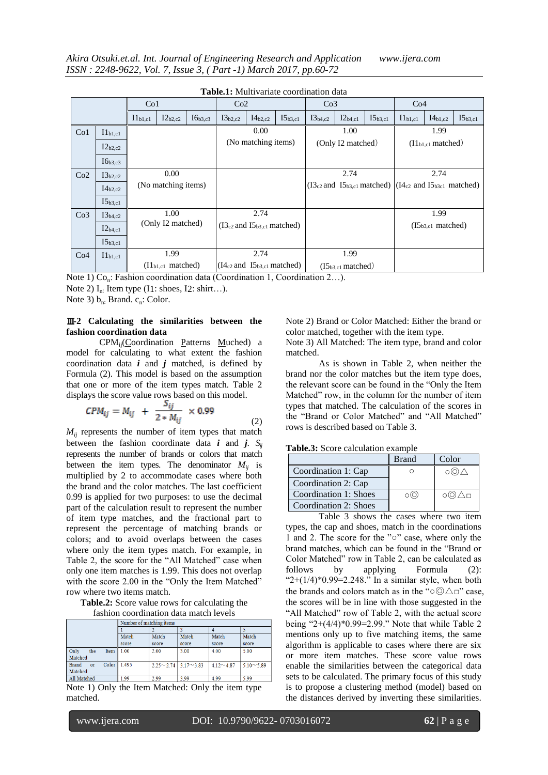| <b>Table.1.</b> Multivaliate coordination data |                     |                 |                               |              |              |                                      |              |                 |                        |              |                                                              |              |              |  |  |  |
|------------------------------------------------|---------------------|-----------------|-------------------------------|--------------|--------------|--------------------------------------|--------------|-----------------|------------------------|--------------|--------------------------------------------------------------|--------------|--------------|--|--|--|
|                                                |                     | Co <sub>1</sub> |                               |              | Co2          |                                      |              | Co <sub>3</sub> |                        |              | Co4                                                          |              |              |  |  |  |
|                                                |                     | $I1_{b1,c1}$    | $I2_{b2,c2}$                  | $I6_{b3,c3}$ | $I3_{b2,c2}$ | $I4_{b2,c2}$                         | $I5_{b3,c1}$ | $I3_{b4,c2}$    | $I2_{b4,c1}$           | $I5_{b3,c1}$ | $I1_{b1,c1}$                                                 | $I4_{b1,c2}$ | $I5_{b3,c1}$ |  |  |  |
| Co <sub>1</sub>                                | II <sub>b1,c1</sub> |                 |                               |              |              | 0.00                                 |              |                 | 1.00                   |              | 1.99                                                         |              |              |  |  |  |
|                                                | $I2_{b2,c2}$        |                 |                               |              |              | (No matching items)                  |              |                 | (Only I2 matched)      |              | (II <sub>b1.c1</sub> matched)                                |              |              |  |  |  |
|                                                | $I6_{b3,c3}$        |                 |                               |              |              |                                      |              |                 |                        |              |                                                              |              |              |  |  |  |
| Co2                                            | $I3_{b2,c2}$        |                 | 0.00                          |              |              |                                      |              |                 | 2.74                   |              | 2.74                                                         |              |              |  |  |  |
|                                                | $I4_{b2,c2}$        |                 | (No matching items)           |              |              |                                      |              |                 |                        |              | $(I3c2$ and $I5b3,c1$ matched) $(I4c2$ and $I5b3c1$ matched) |              |              |  |  |  |
|                                                | $I5_{b3,c1}$        |                 |                               |              |              |                                      |              |                 |                        |              |                                                              |              |              |  |  |  |
| Co <sub>3</sub>                                | $I3_{b4,c2}$        |                 | 1.00                          |              |              | 2.74                                 |              |                 |                        |              | 1.99                                                         |              |              |  |  |  |
|                                                | $I2_{b4,c1}$        |                 | (Only I2 matched)             |              |              | $(I3c2$ and $I5b3,c1$ matched)       |              |                 |                        |              | $(I5_{b3,c1}$ matched)                                       |              |              |  |  |  |
|                                                | $I5_{b3,c1}$        |                 |                               |              |              |                                      |              |                 |                        |              |                                                              |              |              |  |  |  |
| Co <sub>4</sub>                                | II <sub>b1,c1</sub> |                 | 1.99                          |              |              | 2.74                                 |              |                 | 1.99                   |              |                                                              |              |              |  |  |  |
|                                                |                     |                 | (II <sub>b1,c1</sub> matched) |              |              | $(I4_{c2}$ and $I5_{b3,c1}$ matched) |              |                 | $(I5_{b3,c1}$ matched) |              |                                                              |              |              |  |  |  |

| <b>Table.1:</b> Multivariate coordination data |  |
|------------------------------------------------|--|
|------------------------------------------------|--|

Note 1)  $Co<sub>n</sub>$ : Fashion coordination data (Coordination 1, Coordination 2...).

Note 2)  $I_n$ . Item type (I1: shoes, I2: shirt...).

Note 3)  $b_n$ : Brand.  $c_n$ : Color.

# Ⅲ**-2 Calculating the similarities between the fashion coordination data**

CPMij(Coordination Patterns Muched) a model for calculating to what extent the fashion coordination data  $i$  and  $j$  matched, is defined by Formula (2). This model is based on the assumption that one or more of the item types match. Table 2 displays the score value rows based on this model.

$$
CPM_{ij} = M_{ij} + \frac{S_{ij}}{2 * M_{ij}} \times 0.99
$$
 (2)

 $M_{ii}$  represents the number of item types that match between the fashion coordinate data *i* and *j*.  $S_{ij}$ represents the number of brands or colors that match between the item types. The denominator  $M_{ij}$  is multiplied by 2 to accommodate cases where both the brand and the color matches. The last coefficient 0.99 is applied for two purposes: to use the decimal part of the calculation result to represent the number of item type matches, and the fractional part to represent the percentage of matching brands or colors; and to avoid overlaps between the cases where only the item types match. For example, in Table 2, the score for the "All Matched" case when only one item matches is 1.99. This does not overlap with the score 2.00 in the "Only the Item Matched" row where two items match.

**Table.2:** Score value rows for calculating the fashion coordination data match levels

|                             |       | Number of matching items |                                     |                  |                  |  |  |  |  |  |  |  |  |  |
|-----------------------------|-------|--------------------------|-------------------------------------|------------------|------------------|--|--|--|--|--|--|--|--|--|
|                             |       |                          |                                     |                  |                  |  |  |  |  |  |  |  |  |  |
|                             | Match | Match                    | Match                               | Match            | Match            |  |  |  |  |  |  |  |  |  |
|                             | score | score                    | score                               | score            | score            |  |  |  |  |  |  |  |  |  |
| Only<br>the<br>Item         | 1.00  | 2.00                     | 3.00                                | 4.00             | 5.00             |  |  |  |  |  |  |  |  |  |
| Matched                     |       |                          |                                     |                  |                  |  |  |  |  |  |  |  |  |  |
| Color<br><b>Brand</b><br>or | 1.495 |                          | $2.25 \sim 2.74$   3.17 $\sim$ 3.83 | $4.12 \sim 4.87$ | $5.10 \sim 5.89$ |  |  |  |  |  |  |  |  |  |
| Matched                     |       |                          |                                     |                  |                  |  |  |  |  |  |  |  |  |  |
| All Matched                 | 1.99  | 2.99                     | 3.99                                | 4.99             | 5.99             |  |  |  |  |  |  |  |  |  |

Note 1) Only the Item Matched: Only the item type matched.

Note 2) Brand or Color Matched: Either the brand or color matched, together with the item type.

Note 3) All Matched: The item type, brand and color matched.

As is shown in Table 2, when neither the brand nor the color matches but the item type does, the relevant score can be found in the "Only the Item" Matched" row, in the column for the number of item types that matched. The calculation of the scores in the "Brand or Color Matched" and "All Matched" rows is described based on Table 3.

**Table.3:** Score calculation example

|                       | Brand | Color |
|-----------------------|-------|-------|
| Coordination 1: Cap   |       |       |
| Coordination 2: Cap   |       |       |
| Coordination 1: Shoes |       | о⊚∧п  |
| Coordination 2: Shoes |       |       |

Table 3 shows the cases where two item types, the cap and shoes, match in the coordinations 1 and 2. The score for the "○" case, where only the brand matches, which can be found in the "Brand or Color Matched" row in Table 2, can be calculated as follows by applying Formula (2): " $2+(1/4)*0.99=2.248."$  In a similar style, when both the brands and colors match as in the " $\circ \circ \triangle \Box$ " case, the scores will be in line with those suggested in the "All Matched" row of Table 2, with the actual score being "2+(4/4)\*0.99=2.99." Note that while Table 2 mentions only up to five matching items, the same algorithm is applicable to cases where there are six or more item matches. These score value rows enable the similarities between the categorical data sets to be calculated. The primary focus of this study is to propose a clustering method (model) based on the distances derived by inverting these similarities.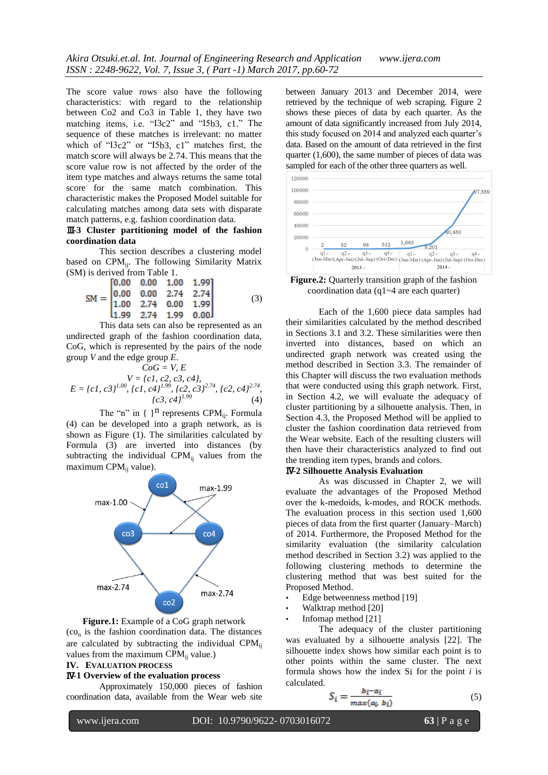The score value rows also have the following characteristics: with regard to the relationship between Co2 and Co3 in Table 1, they have two matching items, i.e. "I3c2" and "I5b3, c1." The sequence of these matches is irrelevant: no matter which of "I3c2" or "I5b3, c1" matches first, the match score will always be 2.74. This means that the score value row is not affected by the order of the item type matches and always returns the same total score for the same match combination. This characteristic makes the Proposed Model suitable for calculating matches among data sets with disparate match patterns, e.g. fashion coordination data.

# Ⅲ**-3 Cluster partitioning model of the fashion coordination data**

This section describes a clustering model based on CPM<sub>ii</sub>. The following Similarity Matrix (SM) is derived from Table 1.

$$
SM = \begin{bmatrix} 0.00 & 0.00 & 1.00 & 1.99 \\ 0.00 & 0.00 & 2.74 & 2.74 \\ 1.00 & 2.74 & 0.00 & 1.99 \\ 1.99 & 2.74 & 1.99 & 0.00 \end{bmatrix}
$$
(3)

This data sets can also be represented as an undirected graph of the fashion coordination data, CoG, which is represented by the pairs of the node group *V* and the edge group *E*.

$$
CoG = V, E
$$
  
\n
$$
V = \{c1, c2, c3, c4\},
$$
  
\n
$$
E = \{c1, c3\}^{1.00}, \{c1, c4\}^{1.99}, \{c2, c3\}^{2.74}, \{c2, c4\}^{2.74},
$$
  
\n
$$
\{c3, c4\}^{1.99}
$$
 (4)

The "n" in { <sup>n</sup> represents CPM<sub>ij</sub>. Formula (4) can be developed into a graph network, as is shown as Figure (1). The similarities calculated by Formula (3) are inverted into distances (by subtracting the individual CPM $_{ii}$  values from the maximum CPM $_{ii}$  value).



**Figure.1:** Example of a CoG graph network  $(co<sub>n</sub>$  is the fashion coordination data. The distances are calculated by subtracting the individual CPM<sub>ii</sub> values from the maximum  $CPM_{ii}$  value.)

#### **IV. EVALUATION PROCESS**

#### Ⅳ**-1 Overview of the evaluation process**

Approximately 150,000 pieces of fashion coordination data, available from the Wear web site between January 2013 and December 2014, were retrieved by the technique of web scraping. Figure 2 shows these pieces of data by each quarter. As the amount of data significantly increased from July 2014, this study focused on 2014 and analyzed each quarter's data. Based on the amount of data retrieved in the first quarter (1,600), the same number of pieces of data was sampled for each of the other three quarters as well.



**Figure.2:** Quarterly transition graph of the fashion coordination data (q1~4 are each quarter)

Each of the 1,600 piece data samples had their similarities calculated by the method described in Sections 3.1 and 3.2. These similarities were then inverted into distances, based on which an undirected graph network was created using the method described in Section 3.3. The remainder of this Chapter will discuss the two evaluation methods that were conducted using this graph network. First, in Section 4.2, we will evaluate the adequacy of cluster partitioning by a silhouette analysis. Then, in Section 4.3, the Proposed Method will be applied to cluster the fashion coordination data retrieved from the Wear website. Each of the resulting clusters will then have their characteristics analyzed to find out the trending item types, brands and colors.

# Ⅳ**-2 Silhouette Analysis Evaluation**

As was discussed in Chapter 2, we will evaluate the advantages of the Proposed Method over the k-medoids, k-modes, and ROCK methods. The evaluation process in this section used 1,600 pieces of data from the first quarter (January–March) of 2014. Furthermore, the Proposed Method for the similarity evaluation (the similarity calculation method described in Section 3.2) was applied to the following clustering methods to determine the clustering method that was best suited for the Proposed Method.

- Edge betweenness method [19]
- Walktrap method [20]
- Infomap method [21]

The adequacy of the cluster partitioning was evaluated by a silhouette analysis [22]. The silhouette index shows how similar each point is to other points within the same cluster. The next formula shows how the index Si for the point *i* is calculated.

$$
S_i = \frac{b_i - a_i}{max(a_i \ b_i)}\tag{5}
$$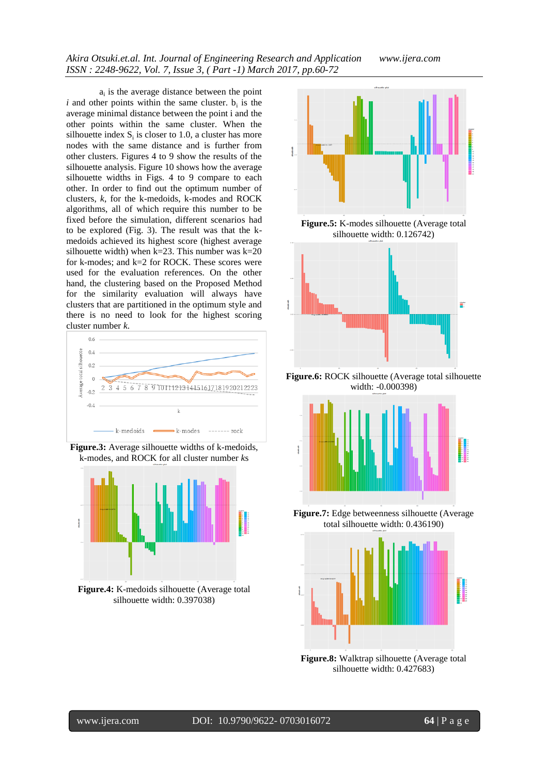*Akira Otsuki.et.al. Int. Journal of Engineering Research and Application www.ijera.com ISSN : 2248-9622, Vol. 7, Issue 3, ( Part -1) March 2017, pp.60-72*

 $a_i$  is the average distance between the point  $i$  and other points within the same cluster.  $b_i$  is the average minimal distance between the point i and the other points within the same cluster. When the silhouette index  $S_i$  is closer to 1.0, a cluster has more nodes with the same distance and is further from other clusters. Figures 4 to 9 show the results of the silhouette analysis. Figure 10 shows how the average silhouette widths in Figs. 4 to 9 compare to each other. In order to find out the optimum number of clusters, *k*, for the k-medoids, k-modes and ROCK algorithms, all of which require this number to be fixed before the simulation, different scenarios had to be explored (Fig. 3). The result was that the kmedoids achieved its highest score (highest average silhouette width) when k=23. This number was k=20 for k-modes; and k=2 for ROCK. These scores were used for the evaluation references. On the other hand, the clustering based on the Proposed Method for the similarity evaluation will always have clusters that are partitioned in the optimum style and there is no need to look for the highest scoring cluster number *k*.



**Figure.3:** Average silhouette widths of k-medoids, k-modes, and ROCK for all cluster number *k*s



**Figure.4:** K-medoids silhouette (Average total silhouette width: 0.397038)



**Figure.5:** K-modes silhouette (Average total silhouette width: 0.126742)



**Figure.6:** ROCK silhouette (Average total silhouette width: -0.000398)



**Figure.7:** Edge betweenness silhouette (Average total silhouette width: 0.436190)



**Figure.8:** Walktrap silhouette (Average total silhouette width: 0.427683)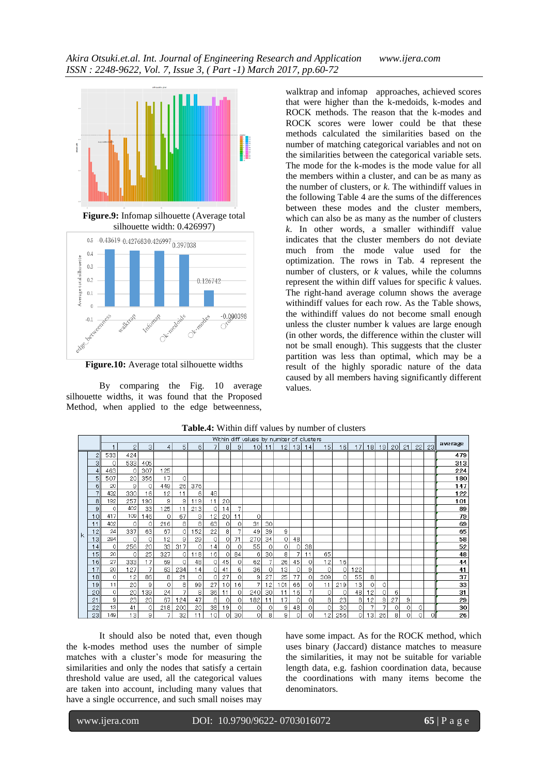



**Figure.10:** Average total silhouette widths

By comparing the Fig. 10 average silhouette widths, it was found that the Proposed Method, when applied to the edge betweenness,

walktrap and infomap approaches, achieved scores that were higher than the k-medoids, k-modes and ROCK methods. The reason that the k-modes and ROCK scores were lower could be that these methods calculated the similarities based on the number of matching categorical variables and not on the similarities between the categorical variable sets. The mode for the k-modes is the mode value for all the members within a cluster, and can be as many as the number of clusters, or *k*. The withindiff values in the following Table 4 are the sums of the differences between these modes and the cluster members, which can also be as many as the number of clusters *k*. In other words, a smaller withindiff value indicates that the cluster members do not deviate much from the mode value used for the optimization. The rows in Tab. 4 represent the number of clusters, or *k* values, while the columns represent the within diff values for specific *k* values. The right-hand average column shows the average withindiff values for each row. As the Table shows, the withindiff values do not become small enough unless the cluster number k values are large enough (in other words, the difference within the cluster will not be small enough). This suggests that the cluster partition was less than optimal, which may be a result of the highly sporadic nature of the data caused by all members having significantly different values.

|    |    | within airr values by number or clusters |                |     |          |                |     |                 |         |                |                 |         |     |    |    |                 |                 |                 |                 |                 |                 |    |    |    |         |
|----|----|------------------------------------------|----------------|-----|----------|----------------|-----|-----------------|---------|----------------|-----------------|---------|-----|----|----|-----------------|-----------------|-----------------|-----------------|-----------------|-----------------|----|----|----|---------|
|    |    |                                          | $\mathfrak{2}$ | 3   | 4        | 5 <sub>1</sub> | 6   | 7               | 8       | 9              | 10 <sub>l</sub> | 11      | 12  | 13 | 14 | 15 <sup>1</sup> | 16 <sub>l</sub> | 17 <sup>1</sup> | 18 <sup>1</sup> | 19 <sup>1</sup> | 20 <sub>l</sub> | 21 | 22 | 23 | average |
|    | 2  | 533                                      | 424            |     |          |                |     |                 |         |                |                 |         |     |    |    |                 |                 |                 |                 |                 |                 |    |    |    | 479     |
|    | з  | 0                                        | 533            | 405 |          |                |     |                 |         |                |                 |         |     |    |    |                 |                 |                 |                 |                 |                 |    |    |    | 313     |
|    | 4  | 463                                      | $\circ$        | 307 | 125      |                |     |                 |         |                |                 |         |     |    |    |                 |                 |                 |                 |                 |                 |    |    |    | 224     |
|    | 5  | 507                                      | 20             | 356 | 17       | $\circ$        |     |                 |         |                |                 |         |     |    |    |                 |                 |                 |                 |                 |                 |    |    |    | 180     |
|    | 6  | 20                                       | 9              | 0   | 449      | 26             | 376 |                 |         |                |                 |         |     |    |    |                 |                 |                 |                 |                 |                 |    |    |    | 147     |
|    |    | 432                                      | 330            | 16  | 12       | 11             | 6   | 48              |         |                |                 |         |     |    |    |                 |                 |                 |                 |                 |                 |    |    |    | 122     |
|    | 8  | 192                                      | 257            | 190 | 9        | 9              | 119 | 11              | 20      |                |                 |         |     |    |    |                 |                 |                 |                 |                 |                 |    |    |    | 101     |
|    | 9  | 0                                        | 402            | 33  | 25       | 11             | 213 | 0               | 14      |                |                 |         |     |    |    |                 |                 |                 |                 |                 |                 |    |    |    | 89      |
|    | 10 | 417                                      | 109            | 46  | $\circ$  | 67             | 9   | 12              | 20      | 11             | $\circ$         |         |     |    |    |                 |                 |                 |                 |                 |                 |    |    |    | 79      |
|    | 11 | 402                                      | $\circ$        | 0   | 216      | 8              | 8   | 63              | 0       | $\circ$        | 31              | 30      |     |    |    |                 |                 |                 |                 |                 |                 |    |    |    | 69      |
| Ιk | 12 | 24                                       | 337            | 63  | 67       | $\circ$        | 152 | 22              | 8       |                | 49              | 39      | 9   |    |    |                 |                 |                 |                 |                 |                 |    |    |    | 65      |
|    | 13 | 284                                      | $\Omega$       | 0   | 12       | 9              | 29  | 0               | 0       | 71             | 270             | 34      | 0   | 48 |    |                 |                 |                 |                 |                 |                 |    |    |    | 58      |
|    | 14 | 0                                        | 256            | 20  | 33       | 317            | 0   | 14              | 0       | 0              | 55              | 0       | 0   | 0  | 38 |                 |                 |                 |                 |                 |                 |    |    |    | 52      |
|    | 15 | 20                                       | $\Omega$       | 25  | 327      | οI             | 118 | 16 <sub>1</sub> | $\circ$ | 84             | 6               | 30      | 8   |    | 11 | 65              |                 |                 |                 |                 |                 |    |    |    | 48      |
|    | 16 | 27                                       | 333            | 17  | 69       | 0              | 48  | 0               | 45      | 0              | 62              | 7       | 26  | 45 | 0  | 12              | 16              |                 |                 |                 |                 |    |    |    | 44      |
|    | 17 | 20                                       | 127            |     | 63       | 234            | 14  | $\overline{O}$  | 41      | 6              | 36              | $\circ$ | 13  | 0  | 9  | 0               | 0               | 122             |                 |                 |                 |    |    |    | 41      |
|    | 18 | 0                                        | 12             | 86  | 8        | 21             | 0   | 0               | 27      | $\overline{0}$ | 9               | 27      | 25  | 77 | 0  | 309             | $\Omega$        | 55              | 8               |                 |                 |    |    |    | 37      |
|    | 19 | 11                                       | 20             | 9   | $\Omega$ | 8              | 99  | 27              | 10      | 16             | 7               | 12      | 101 | 66 | 0  | 11              | 219             | 13              | οI              | 0               |                 |    |    |    | 33      |
|    | 20 | $\circ$                                  | 20             | 39  | 24       | 7              | 8   | 36              | 11      | $\overline{0}$ | 240             | 30      | 11  | 16 | 7  | 0               | $\Omega$        | 48              | 12              | 0               | 6               |    |    |    | 31      |
|    | 21 | 9                                        | 23             | 20  | 67       | 124            | 47  | 8               | 0       | $\circ$        | 182             | 11      | 17  | 0  | 0  | 8               | 23              | 8               | $\overline{c}$  | 9               | 27              | 9  |    |    | 29      |
|    | 22 | 13                                       | 41             | 0   | 218      | 200            | 20  | 38              | 19      | 0              | $\circ$         | 0       | 9   | 48 | 0  | 0               | 30              | $\circ$         | 7               | 7               | 0               | 0  | 0  |    | 30      |
|    | 23 | 149                                      | 13             | 9   | 7        | 32             | 11  | 10              | 0       | 30             | O               | 8       | 9   | 0  | 0  | 12              | 256             | οI              | 13              | 26              | 8               | 0  | 0l | O  | 26      |

#### **Table.4:** Within diff values by number of clusters

It should also be noted that, even though the k-modes method uses the number of simple matches with a cluster's mode for measuring the similarities and only the nodes that satisfy a certain threshold value are used, all the categorical values are taken into account, including many values that have a single occurrence, and such small noises may have some impact. As for the ROCK method, which uses binary (Jaccard) distance matches to measure the similarities, it may not be suitable for variable length data, e.g. fashion coordination data, because the coordinations with many items become the denominators.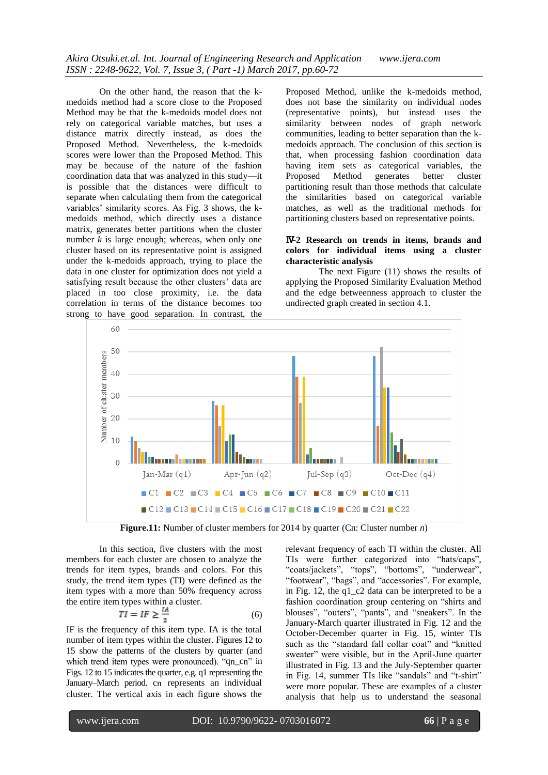On the other hand, the reason that the kmedoids method had a score close to the Proposed Method may be that the k-medoids model does not rely on categorical variable matches, but uses a distance matrix directly instead, as does the Proposed Method. Nevertheless, the k-medoids scores were lower than the Proposed Method. This may be because of the nature of the fashion coordination data that was analyzed in this study—it is possible that the distances were difficult to separate when calculating them from the categorical variables' similarity scores. As Fig. 3 shows, the kmedoids method, which directly uses a distance matrix, generates better partitions when the cluster number  $k$  is large enough; whereas, when only one cluster based on its representative point is assigned under the k-medoids approach, trying to place the data in one cluster for optimization does not yield a satisfying result because the other clusters' data are placed in too close proximity, i.e. the data correlation in terms of the distance becomes too strong to have good separation. In contrast, the

Proposed Method, unlike the k-medoids method, does not base the similarity on individual nodes (representative points), but instead uses the similarity between nodes of graph network communities, leading to better separation than the kmedoids approach. The conclusion of this section is that, when processing fashion coordination data having item sets as categorical variables, the Proposed Method generates better cluster partitioning result than those methods that calculate the similarities based on categorical variable matches, as well as the traditional methods for partitioning clusters based on representative points.

# Ⅳ**-2 Research on trends in items, brands and colors for individual items using a cluster characteristic analysis**

The next Figure (11) shows the results of applying the Proposed Similarity Evaluation Method and the edge betweenness approach to cluster the undirected graph created in section 4.1.



**Figure.11:** Number of cluster members for 2014 by quarter (Cn: Cluster number *n*)

In this section, five clusters with the most members for each cluster are chosen to analyze the trends for item types, brands and colors. For this study, the trend item types (TI) were defined as the item types with a more than 50% frequency across the entire item types within a cluster.

$$
TI = IF \ge \frac{IA}{2} \tag{6}
$$

IF is the frequency of this item type. IA is the total number of item types within the cluster. Figures 12 to 15 show the patterns of the clusters by quarter (and which trend item types were pronounced). "qn\_cn" in Figs. 12 to 15 indicates the quarter, e.g. q1 representing the January–March period. cn represents an individual cluster. The vertical axis in each figure shows the

relevant frequency of each TI within the cluster. All TIs were further categorized into "hats/caps", "coats/jackets", "tops", "bottoms", "underwear", "footwear", "bags", and "accessories". For example, in Fig. 12, the q1\_c2 data can be interpreted to be a fashion coordination group centering on "shirts and blouses", "outers", "pants", and "sneakers". In the January-March quarter illustrated in Fig. 12 and the October-December quarter in Fig. 15, winter TIs such as the "standard fall collar coat" and "knitted sweater" were visible, but in the April-June quarter illustrated in Fig. 13 and the July-September quarter in Fig. 14, summer TIs like "sandals" and "t-shirt" were more popular. These are examples of a cluster analysis that help us to understand the seasonal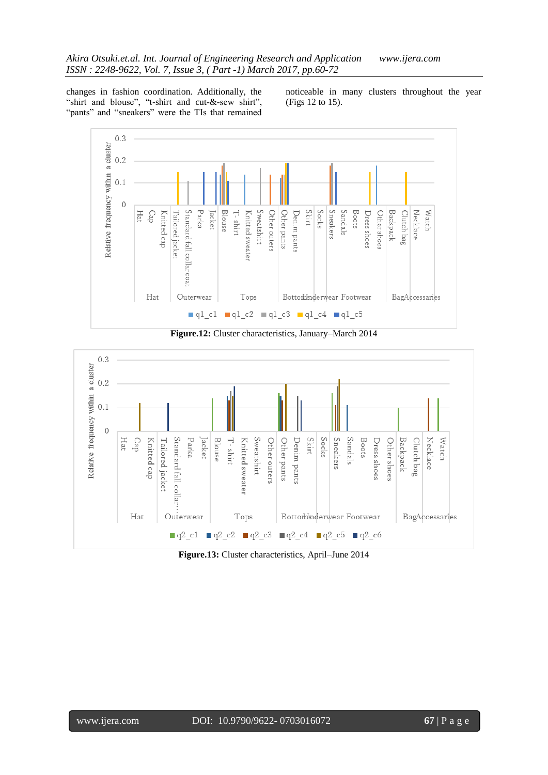changes in fashion coordination. Additionally, the "shirt and blouse", "t-shirt and cut-&-sew shirt", "pants" and "sneakers" were the TIs that remained noticeable in many clusters throughout the year (Figs 12 to 15).



**Figure.12:** Cluster characteristics, January–March 2014



**Figure.13:** Cluster characteristics, April–June 2014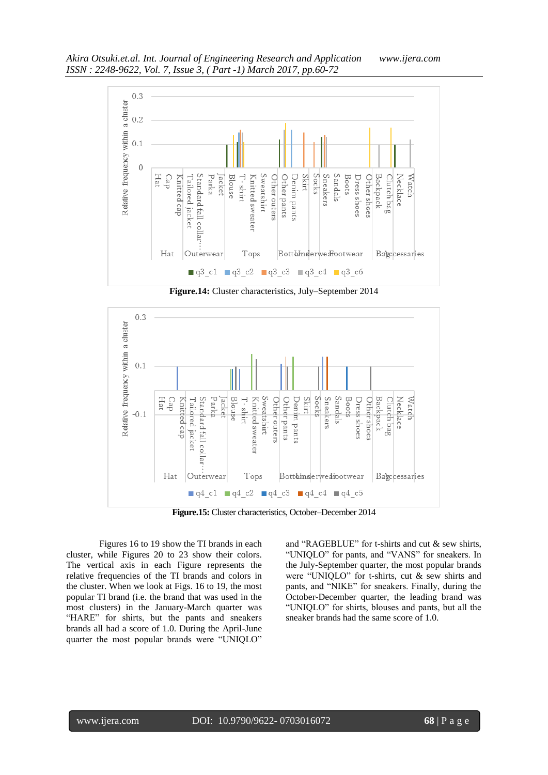

**Figure.14:** Cluster characteristics, July–September 2014



**Figure.15:** Cluster characteristics, October–December 2014

Figures 16 to 19 show the TI brands in each cluster, while Figures 20 to 23 show their colors. The vertical axis in each Figure represents the relative frequencies of the TI brands and colors in the cluster. When we look at Figs. 16 to 19, the most popular TI brand (i.e. the brand that was used in the most clusters) in the January-March quarter was "HARE" for shirts, but the pants and sneakers brands all had a score of 1.0. During the April-June quarter the most popular brands were "UNIQLO" and "RAGEBLUE" for t-shirts and cut  $\&$  sew shirts, "UNIQLO" for pants, and "VANS" for sneakers. In the July-September quarter, the most popular brands were "UNIQLO" for t-shirts, cut  $\&$  sew shirts and pants, and "NIKE" for sneakers. Finally, during the October-December quarter, the leading brand was "UNIQLO" for shirts, blouses and pants, but all the sneaker brands had the same score of 1.0.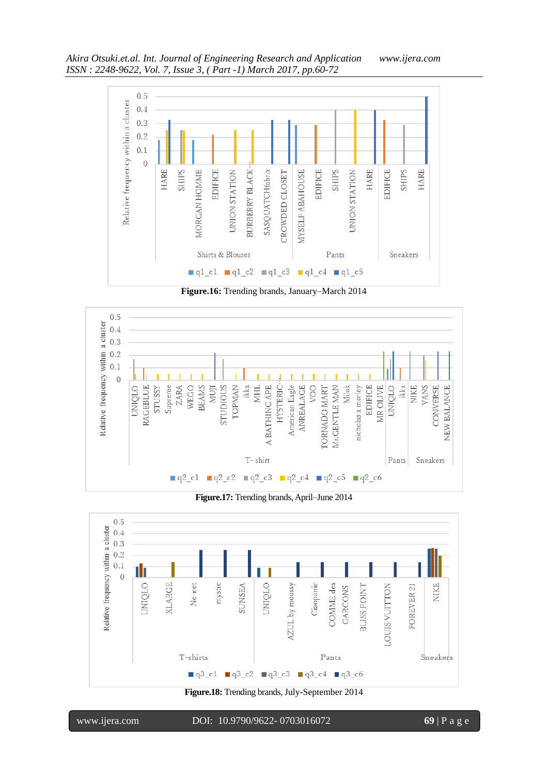

**Figure.16:** Trending brands, January–March 2014



**Figure.17:** Trending brands, April–June 2014



**Figure.18:** Trending brands, July-September 2014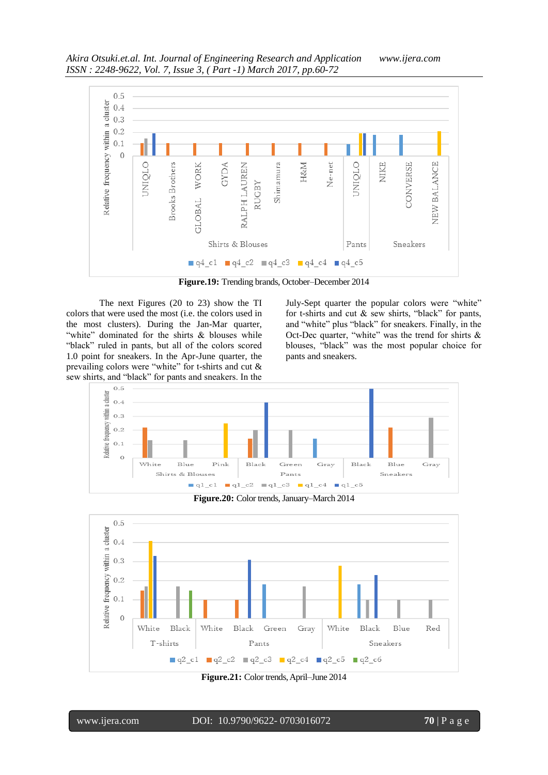

**Figure.19:** Trending brands, October–December 2014

The next Figures (20 to 23) show the TI colors that were used the most (i.e. the colors used in the most clusters). During the Jan-Mar quarter, "white" dominated for the shirts  $&$  blouses while "black" ruled in pants, but all of the colors scored 1.0 point for sneakers. In the Apr-June quarter, the prevailing colors were "white" for t-shirts and cut  $\&$ sew shirts, and "black" for pants and sneakers. In the

July-Sept quarter the popular colors were "white" for t-shirts and cut  $&$  sew shirts, "black" for pants, and "white" plus "black" for sneakers. Finally, in the Oct-Dec quarter, "white" was the trend for shirts  $\&$ blouses, "black" was the most popular choice for pants and sneakers.







**Figure.21:** Color trends, April–June 2014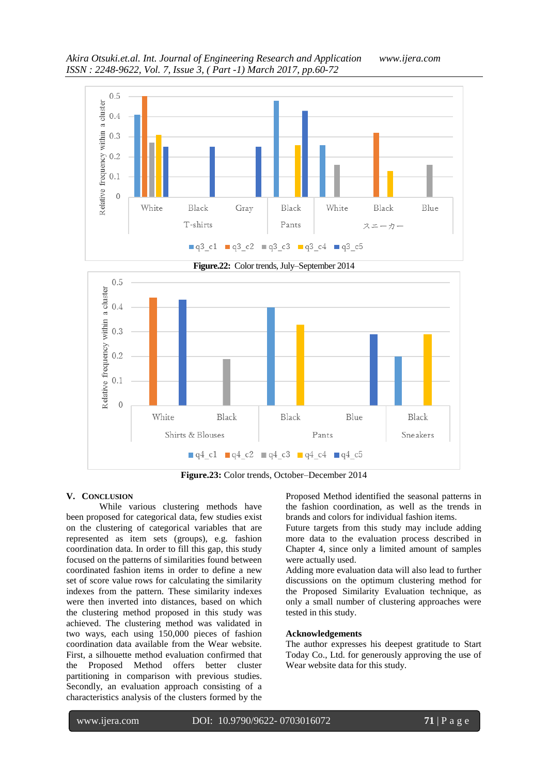

**Figure.23:** Color trends, October–December 2014

 $q4_c1$   $q4_c2$   $q4_c3$   $q4_c4$   $q4_c5$ 

Black

Black

#### **V. CONCLUSION**

 $0.1$ 

 $\overline{0}$ 

While various clustering methods have been proposed for categorical data, few studies exist on the clustering of categorical variables that are represented as item sets (groups), e.g. fashion coordination data. In order to fill this gap, this study focused on the patterns of similarities found between coordinated fashion items in order to define a new set of score value rows for calculating the similarity indexes from the pattern. These similarity indexes were then inverted into distances, based on which the clustering method proposed in this study was achieved. The clustering method was validated in two ways, each using 150,000 pieces of fashion coordination data available from the Wear website. First, a silhouette method evaluation confirmed that the Proposed Method offers better cluster partitioning in comparison with previous studies. Secondly, an evaluation approach consisting of a characteristics analysis of the clusters formed by the

White

Shirts & Blouses

Proposed Method identified the seasonal patterns in the fashion coordination, as well as the trends in brands and colors for individual fashion items.

Blue

Pants

Black

Sneakers

Future targets from this study may include adding more data to the evaluation process described in Chapter 4, since only a limited amount of samples were actually used.

Adding more evaluation data will also lead to further discussions on the optimum clustering method for the Proposed Similarity Evaluation technique, as only a small number of clustering approaches were tested in this study.

## **Acknowledgements**

The author expresses his deepest gratitude to Start Today Co., Ltd. for generously approving the use of Wear website data for this study.